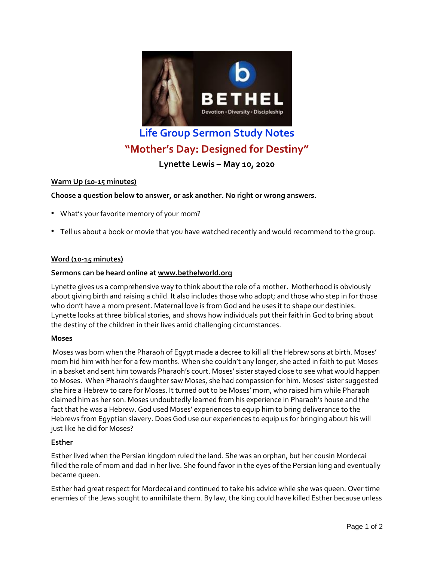

# **Life Group Sermon Study Notes "Mother's Day: Designed for Destiny"**

**Lynette Lewis – May 10, 2020**

# **Warm Up (10-15 minutes)**

# **Choose a question below to answer, or ask another. No right or wrong answers.**

- What's your favorite memory of your mom?
- Tell us about a book or movie that you have watched recently and would recommend to the group.

# **Word (10-15 minutes)**

## **Sermons can be heard online at [www.bethelworld.org](http://www.bethelworld.org/)**

Lynette gives us a comprehensive way to think about the role of a mother. Motherhood is obviously about giving birth and raising a child. It also includes those who adopt; and those who step in for those who don't have a mom present. Maternal love is from God and he uses it to shape our destinies. Lynette looks at three biblical stories, and shows how individuals put their faith in God to bring about the destiny of the children in their lives amid challenging circumstances.

#### **Moses**

Moses was born when the Pharaoh of Egypt made a decree to kill all the Hebrew sons at birth. Moses' mom hid him with her for a few months. When she couldn't any longer, she acted in faith to put Moses in a basket and sent him towards Pharaoh's court. Moses' sister stayed close to see what would happen to Moses. When Pharaoh's daughter saw Moses, she had compassion for him. Moses' sister suggested she hire a Hebrew to care for Moses. It turned out to be Moses' mom, who raised him while Pharaoh claimed him as her son. Moses undoubtedly learned from his experience in Pharaoh's house and the fact that he was a Hebrew. God used Moses' experiences to equip him to bring deliverance to the Hebrews from Egyptian slavery. Does God use our experiences to equip us for bringing about his will just like he did for Moses?

#### **Esther**

Esther lived when the Persian kingdom ruled the land. She was an orphan, but her cousin Mordecai filled the role of mom and dad in her live. She found favor in the eyes of the Persian king and eventually became queen.

Esther had great respect for Mordecai and continued to take his advice while she was queen. Over time enemies of the Jews sought to annihilate them. By law, the king could have killed Esther because unless